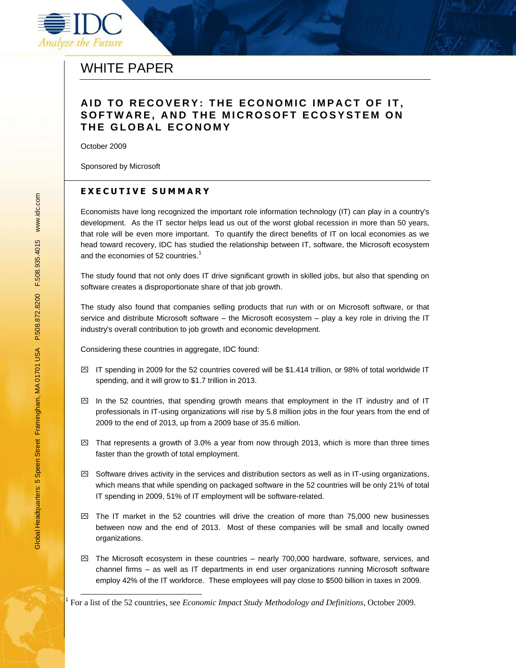

# WHITE PAPER

## **A I D T O R E C O V E R Y : T H E E C O N O M I C I M P A C T O F I T ,**  SOFTWARE, AND THE MICROSOFT ECOSYSTEM ON **T H E G L O B A L E C O N O M Y**

October 2009

Sponsored by Microsoft

## **E X E C U T I V E S U M M A R Y**

Economists have long recognized the important role information technology (IT) can play in a country's development. As the IT sector helps lead us out of the worst global recession in more than 50 years, that role will be even more important. To quantify the direct benefits of IT on local economies as we head toward recovery, IDC has studied the relationship between IT, software, the Microsoft ecosystem and the economies of 52 countries.<sup>1</sup>

The study found that not only does IT drive significant growth in skilled jobs, but also that spending on software creates a disproportionate share of that job growth.

The study also found that companies selling products that run with or on Microsoft software, or that service and distribute Microsoft software – the Microsoft ecosystem – play a key role in driving the IT industry's overall contribution to job growth and economic development.

Considering these countries in aggregate, IDC found:

- $\boxtimes$  IT spending in 2009 for the 52 countries covered will be \$1.414 trillion, or 98% of total worldwide IT spending, and it will grow to \$1.7 trillion in 2013.
- $\boxtimes$  In the 52 countries, that spending growth means that employment in the IT industry and of IT professionals in IT-using organizations will rise by 5.8 million jobs in the four years from the end of 2009 to the end of 2013, up from a 2009 base of 35.6 million.
- $\boxtimes$  That represents a growth of 3.0% a year from now through 2013, which is more than three times faster than the growth of total employment.
- $\boxtimes$  Software drives activity in the services and distribution sectors as well as in IT-using organizations, which means that while spending on packaged software in the 52 countries will be only 21% of total IT spending in 2009, 51% of IT employment will be software-related.
- $\boxtimes$  The IT market in the 52 countries will drive the creation of more than 75,000 new businesses between now and the end of 2013. Most of these companies will be small and locally owned organizations.
- $\boxtimes$  The Microsoft ecosystem in these countries nearly 700,000 hardware, software, services, and channel firms – as well as IT departments in end user organizations running Microsoft software employ 42% of the IT workforce. These employees will pay close to \$500 billion in taxes in 2009.

l

<sup>1</sup> For a list of the 52 countries, see *Economic Impact Study Methodology and Definitions*, October 2009.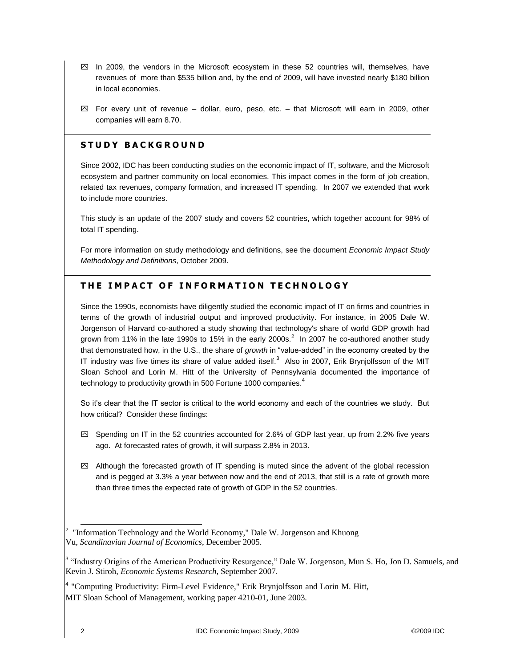- $\boxdot$  In 2009, the vendors in the Microsoft ecosystem in these 52 countries will, themselves, have revenues of more than \$535 billion and, by the end of 2009, will have invested nearly \$180 billion in local economies.
- $\boxtimes$  For every unit of revenue dollar, euro, peso, etc. that Microsoft will earn in 2009, other companies will earn 8.70.

#### **S T U D Y B A C K G R O U N D**

Since 2002, IDC has been conducting studies on the economic impact of IT, software, and the Microsoft ecosystem and partner community on local economies. This impact comes in the form of job creation, related tax revenues, company formation, and increased IT spending. In 2007 we extended that work to include more countries.

This study is an update of the 2007 study and covers 52 countries, which together account for 98% of total IT spending.

For more information on study methodology and definitions, see the document *Economic Impact Study Methodology and Definitions*, October 2009.

## **THE IMPACT OF INFORMATION TECHNOLOGY**

Since the 1990s, economists have diligently studied the economic impact of IT on firms and countries in terms of the growth of industrial output and improved productivity. For instance, in 2005 Dale W. Jorgenson of Harvard co-authored a study showing that technology's share of world GDP growth had grown from 11% in the late 1990s to 15% in the early 2000s.<sup>2</sup> In 2007 he co-authored another study that demonstrated how, in the U.S., the share of *growth* in "value-added" in the economy created by the IT industry was five times its share of value added itself.<sup>3</sup> Also in 2007, Erik Brynjolfsson of the MIT Sloan School and Lorin M. Hitt of the University of Pennsylvania documented the importance of technology to productivity growth in 500 Fortune 1000 companies. $4$ 

So it's clear that the IT sector is critical to the world economy and each of the countries we study. But how critical? Consider these findings:

- $\boxtimes$  Spending on IT in the 52 countries accounted for 2.6% of GDP last year, up from 2.2% five years ago. At forecasted rates of growth, it will surpass 2.8% in 2013.
- $\boxtimes$  Although the forecasted growth of IT spending is muted since the advent of the global recession and is pegged at 3.3% a year between now and the end of 2013, that still is a rate of growth more than three times the expected rate of growth of GDP in the 52 countries.

<sup>&</sup>lt;sup>2</sup> "Information Technology and the World Economy," Dale W. Jorgenson and Khuong Vu, *Scandinavian Journal of Economics*, December 2005.

<sup>&</sup>lt;sup>3</sup> "Industry Origins of the American Productivity Resurgence," Dale W. Jorgenson, Mun S. Ho, Jon D. Samuels, and Kevin J. Stiroh, *Economic Systems Research,* September 2007.

<sup>&</sup>lt;sup>4</sup> "Computing Productivity: Firm-Level Evidence," Erik Brynjolfsson and Lorin M. Hitt, MIT Sloan School of Management, working paper 4210-01, June 2003.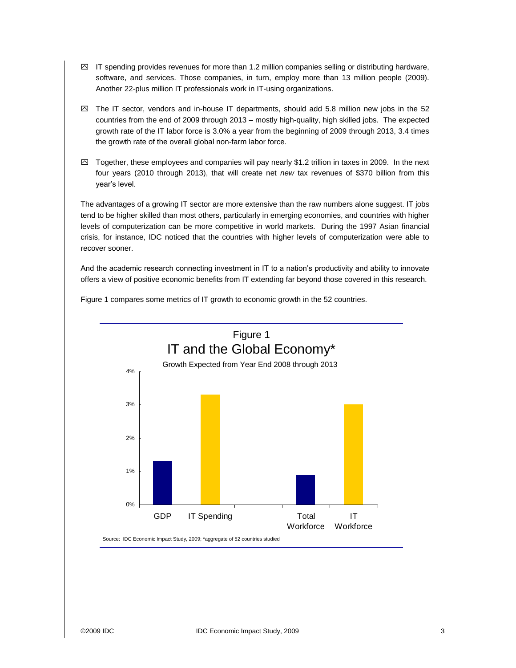- $\boxtimes$  IT spending provides revenues for more than 1.2 million companies selling or distributing hardware, software, and services. Those companies, in turn, employ more than 13 million people (2009). Another 22-plus million IT professionals work in IT-using organizations.
- $\boxtimes$  The IT sector, vendors and in-house IT departments, should add 5.8 million new jobs in the 52 countries from the end of 2009 through 2013 – mostly high-quality, high skilled jobs. The expected growth rate of the IT labor force is 3.0% a year from the beginning of 2009 through 2013, 3.4 times the growth rate of the overall global non-farm labor force.
- $\boxtimes$  Together, these employees and companies will pay nearly \$1.2 trillion in taxes in 2009. In the next four years (2010 through 2013), that will create net *new* tax revenues of \$370 billion from this year's level.

The advantages of a growing IT sector are more extensive than the raw numbers alone suggest. IT jobs tend to be higher skilled than most others, particularly in emerging economies, and countries with higher levels of computerization can be more competitive in world markets. During the 1997 Asian financial crisis, for instance, IDC noticed that the countries with higher levels of computerization were able to recover sooner.

And the academic research connecting investment in IT to a nation's productivity and ability to innovate offers a view of positive economic benefits from IT extending far beyond those covered in this research.

Figure 1 compares some metrics of IT growth to economic growth in the 52 countries.

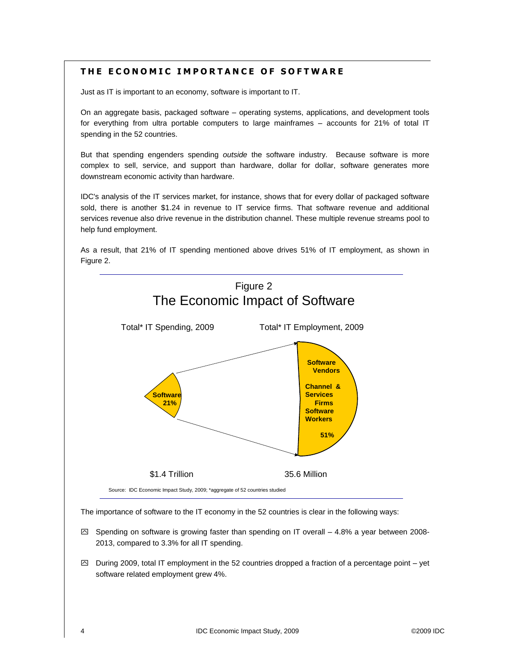## **T H E E C O N O M I C I M P O R T A N C E O F S O F T W A R E**

Just as IT is important to an economy, software is important to IT.

On an aggregate basis, packaged software – operating systems, applications, and development tools for everything from ultra portable computers to large mainframes – accounts for 21% of total IT spending in the 52 countries.

But that spending engenders spending *outside* the software industry. Because software is more complex to sell, service, and support than hardware, dollar for dollar, software generates more downstream economic activity than hardware.

IDC's analysis of the IT services market, for instance, shows that for every dollar of packaged software sold, there is another \$1.24 in revenue to IT service firms. That software revenue and additional services revenue also drive revenue in the distribution channel. These multiple revenue streams pool to help fund employment.

As a result, that 21% of IT spending mentioned above drives 51% of IT employment, as shown in Figure 2.



The importance of software to the IT economy in the 52 countries is clear in the following ways:

- $\boxtimes$  Spending on software is growing faster than spending on IT overall 4.8% a year between 2008-2013, compared to 3.3% for all IT spending.
- $\boxtimes$  During 2009, total IT employment in the 52 countries dropped a fraction of a percentage point yet software related employment grew 4%.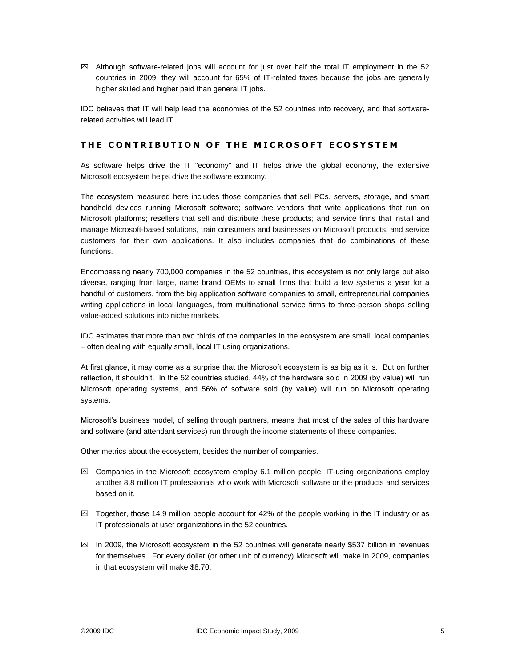$\boxtimes$  Although software-related jobs will account for just over half the total IT employment in the 52 countries in 2009, they will account for 65% of IT-related taxes because the jobs are generally higher skilled and higher paid than general IT jobs.

IDC believes that IT will help lead the economies of the 52 countries into recovery, and that softwarerelated activities will lead IT.

#### **THE CONTRIBUTION OF THE MICROSOFT ECOSYSTEM**

As software helps drive the IT "economy" and IT helps drive the global economy, the extensive Microsoft ecosystem helps drive the software economy.

The ecosystem measured here includes those companies that sell PCs, servers, storage, and smart handheld devices running Microsoft software; software vendors that write applications that run on Microsoft platforms; resellers that sell and distribute these products; and service firms that install and manage Microsoft-based solutions, train consumers and businesses on Microsoft products, and service customers for their own applications. It also includes companies that do combinations of these functions.

Encompassing nearly 700,000 companies in the 52 countries, this ecosystem is not only large but also diverse, ranging from large, name brand OEMs to small firms that build a few systems a year for a handful of customers, from the big application software companies to small, entrepreneurial companies writing applications in local languages, from multinational service firms to three-person shops selling value-added solutions into niche markets.

IDC estimates that more than two thirds of the companies in the ecosystem are small, local companies – often dealing with equally small, local IT using organizations.

At first glance, it may come as a surprise that the Microsoft ecosystem is as big as it is. But on further reflection, it shouldn't. In the 52 countries studied, 44% of the hardware sold in 2009 (by value) will run Microsoft operating systems, and 56% of software sold (by value) will run on Microsoft operating systems.

Microsoft's business model, of selling through partners, means that most of the sales of this hardware and software (and attendant services) run through the income statements of these companies.

Other metrics about the ecosystem, besides the number of companies.

- $\boxtimes$  Companies in the Microsoft ecosystem employ 6.1 million people. IT-using organizations employ another 8.8 million IT professionals who work with Microsoft software or the products and services based on it.
- $\boxtimes$  Together, those 14.9 million people account for 42% of the people working in the IT industry or as IT professionals at user organizations in the 52 countries.
- $\boxtimes$  In 2009, the Microsoft ecosystem in the 52 countries will generate nearly \$537 billion in revenues for themselves. For every dollar (or other unit of currency) Microsoft will make in 2009, companies in that ecosystem will make \$8.70.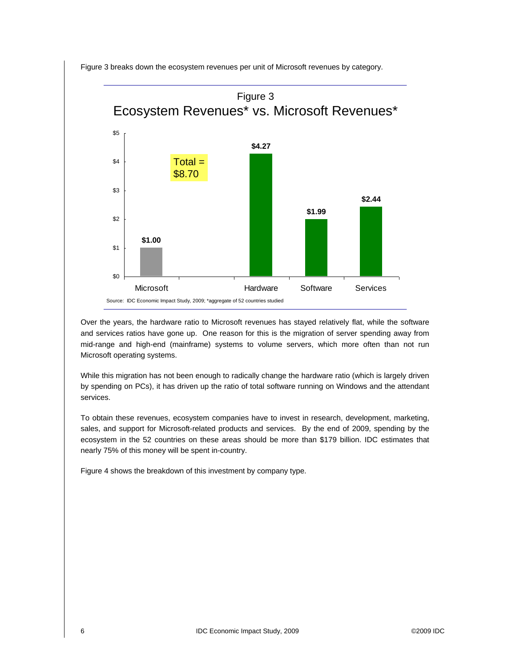

Figure 3 breaks down the ecosystem revenues per unit of Microsoft revenues by category.

Over the years, the hardware ratio to Microsoft revenues has stayed relatively flat, while the software and services ratios have gone up. One reason for this is the migration of server spending away from mid-range and high-end (mainframe) systems to volume servers, which more often than not run Microsoft operating systems.

While this migration has not been enough to radically change the hardware ratio (which is largely driven by spending on PCs), it has driven up the ratio of total software running on Windows and the attendant services.

To obtain these revenues, ecosystem companies have to invest in research, development, marketing, sales, and support for Microsoft-related products and services. By the end of 2009, spending by the ecosystem in the 52 countries on these areas should be more than \$179 billion. IDC estimates that nearly 75% of this money will be spent in-country.

Figure 4 shows the breakdown of this investment by company type.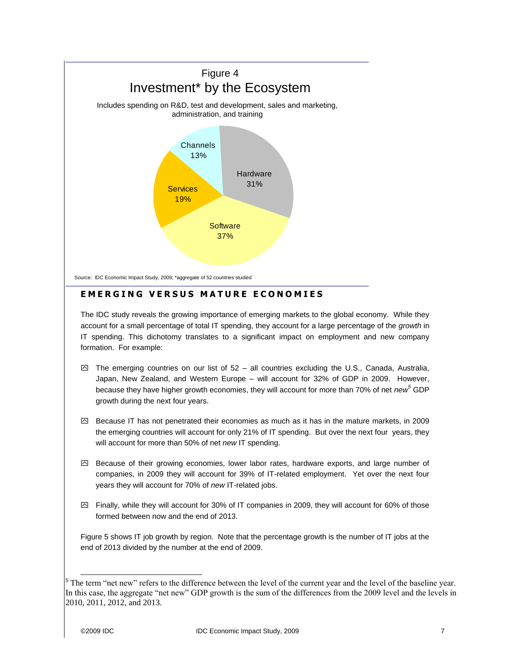

## **E M E R G I N G V E R S U S M A T U R E E C O N O M I E S**

The IDC study reveals the growing importance of emerging markets to the global economy. While they account for a small percentage of total IT spending, they account for a large percentage of the *growth* in IT spending. This dichotomy translates to a significant impact on employment and new company formation. For example:

- $\boxtimes$  The emerging countries on our list of 52 all countries excluding the U.S., Canada, Australia, Japan, New Zealand, and Western Europe – will account for 32% of GDP in 2009. However, because they have higher growth economies, they will account for more than 70% of net *new<sup>5</sup>* GDP growth during the next four years.
- $\boxtimes$  Because IT has not penetrated their economies as much as it has in the mature markets, in 2009 the emerging countries will account for only 21% of IT spending. But over the next four years, they will account for more than 50% of net *new* IT spending.
- $\boxtimes$  Because of their growing economies, lower labor rates, hardware exports, and large number of companies, in 2009 they will account for 39% of IT-related employment. Yet over the next four years they will account for 70% of *new* IT-related jobs.
- $\boxtimes$  Finally, while they will account for 30% of IT companies in 2009, they will account for 60% of those formed between now and the end of 2013.

Figure 5 shows IT job growth by region. Note that the percentage growth is the number of IT jobs at the end of 2013 divided by the number at the end of 2009.

l

<sup>&</sup>lt;sup>5</sup> The term "net new" refers to the difference between the level of the current year and the level of the baseline year. In this case, the aggregate "net new" GDP growth is the sum of the differences from the 2009 level and the levels in 2010, 2011, 2012, and 2013.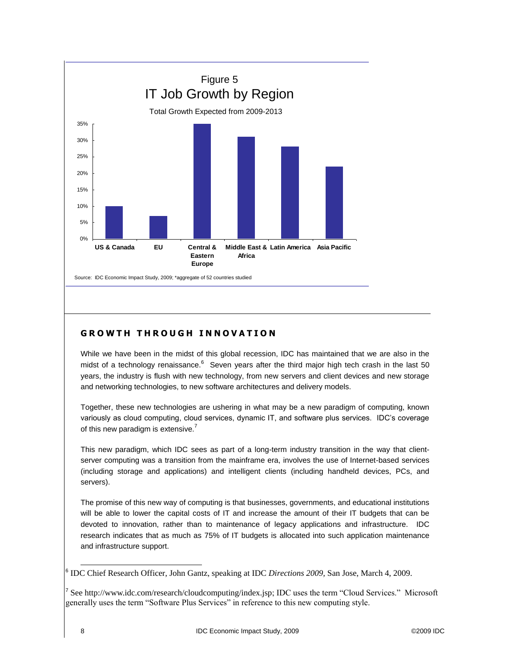

## **G R O W T H T H R O U G H I N N O V A T I O N**

While we have been in the midst of this global recession, IDC has maintained that we are also in the midst of a technology renaissance.<sup>6</sup> Seven years after the third major high tech crash in the last 50 years, the industry is flush with new technology, from new servers and client devices and new storage and networking technologies, to new software architectures and delivery models.

Together, these new technologies are ushering in what may be a new paradigm of computing, known variously as cloud computing, cloud services, dynamic IT, and software plus services. IDC's coverage of this new paradigm is extensive. $<sup>7</sup>$ </sup>

This new paradigm, which IDC sees as part of a long-term industry transition in the way that clientserver computing was a transition from the mainframe era, involves the use of Internet-based services (including storage and applications) and intelligent clients (including handheld devices, PCs, and servers).

The promise of this new way of computing is that businesses, governments, and educational institutions will be able to lower the capital costs of IT and increase the amount of their IT budgets that can be devoted to innovation, rather than to maintenance of legacy applications and infrastructure. IDC research indicates that as much as 75% of IT budgets is allocated into such application maintenance and infrastructure support.

l

<sup>6</sup> IDC Chief Research Officer, John Gantz, speaking at IDC *Directions 2009,* San Jose, March 4, 2009.

<sup>&</sup>lt;sup>7</sup> Se[e http://www.idc.com/research/cloudcomputing/index.jsp;](http://www.idc.com/research/cloudcomputing/index.jsp) IDC uses the term "Cloud Services." Microsoft generally uses the term "Software Plus Services" in reference to this new computing style.